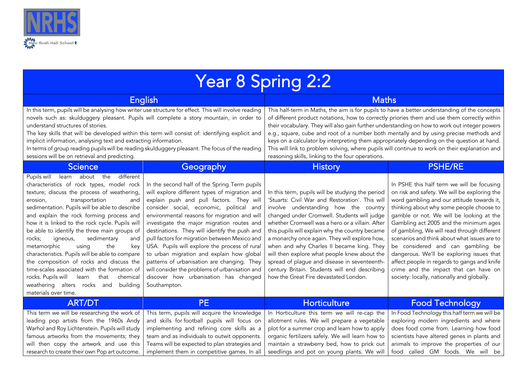

| Year 8 Spring 2:2                                                                                                                                                                                                                                                                                                                                                                                                                                                                                                                                                                                                                                                                                                              |                                                                                                                                                                                                                                                                                                                                                                                                                                                                                                                                                                                                                                               |                                                                                                                                                                                                                                                                                                                                                                                                                                                                                                                                                                                                                                               |                                                                                                                                                                                                                                                                                                                                                                                                                                                                                                                                                                                                   |  |  |
|--------------------------------------------------------------------------------------------------------------------------------------------------------------------------------------------------------------------------------------------------------------------------------------------------------------------------------------------------------------------------------------------------------------------------------------------------------------------------------------------------------------------------------------------------------------------------------------------------------------------------------------------------------------------------------------------------------------------------------|-----------------------------------------------------------------------------------------------------------------------------------------------------------------------------------------------------------------------------------------------------------------------------------------------------------------------------------------------------------------------------------------------------------------------------------------------------------------------------------------------------------------------------------------------------------------------------------------------------------------------------------------------|-----------------------------------------------------------------------------------------------------------------------------------------------------------------------------------------------------------------------------------------------------------------------------------------------------------------------------------------------------------------------------------------------------------------------------------------------------------------------------------------------------------------------------------------------------------------------------------------------------------------------------------------------|---------------------------------------------------------------------------------------------------------------------------------------------------------------------------------------------------------------------------------------------------------------------------------------------------------------------------------------------------------------------------------------------------------------------------------------------------------------------------------------------------------------------------------------------------------------------------------------------------|--|--|
| <b>English</b>                                                                                                                                                                                                                                                                                                                                                                                                                                                                                                                                                                                                                                                                                                                 |                                                                                                                                                                                                                                                                                                                                                                                                                                                                                                                                                                                                                                               | <b>Maths</b>                                                                                                                                                                                                                                                                                                                                                                                                                                                                                                                                                                                                                                  |                                                                                                                                                                                                                                                                                                                                                                                                                                                                                                                                                                                                   |  |  |
| In this term, pupils will be analysing how writer use structure for effect. This will involve reading<br>novels such as: skulduggery pleasant. Pupils will complete a story mountain, in order to<br>understand structures of stories.<br>The key skills that will be developed within this term will consist of: identifying explicit and<br>implicit information, analysing text and extracting information.<br>In terms of group reading pupils will be reading skulduggery pleasant. The focus of the reading<br>sessions will be on retrieval and predicting.                                                                                                                                                             |                                                                                                                                                                                                                                                                                                                                                                                                                                                                                                                                                                                                                                               | This half-term in Maths, the aim is for pupils to have a better understanding of the concepts<br>of different product notations, how to correctly priories them and use them correctly within<br>their vocabulary. They will also gain further understanding on how to work out integer powers<br>e.g., square, cube and root of a number both mentally and by using precise methods and<br>keys on a calculator by interpreting them appropriately depending on the question at hand.<br>This will link to problem solving, where pupils will continue to work on their explanation and<br>reasoning skills, linking to the four operations. |                                                                                                                                                                                                                                                                                                                                                                                                                                                                                                                                                                                                   |  |  |
| <b>Science</b>                                                                                                                                                                                                                                                                                                                                                                                                                                                                                                                                                                                                                                                                                                                 | Geography                                                                                                                                                                                                                                                                                                                                                                                                                                                                                                                                                                                                                                     | <b>History</b>                                                                                                                                                                                                                                                                                                                                                                                                                                                                                                                                                                                                                                | <b>PSHE/RE</b>                                                                                                                                                                                                                                                                                                                                                                                                                                                                                                                                                                                    |  |  |
| Pupils will learn about the different<br>characteristics of rock types, model rock<br>texture; discuss the process of weathering,<br>transportation<br>erosion,<br>and<br>sedimentation. Pupils will be able to describe<br>and explain the rock forming process and<br>how it is linked to the rock cycle. Pupils will<br>be able to identify the three main groups of<br>sedimentary<br>rocks;<br>igneous,<br>and<br>metamorphic<br>using<br>the<br>key<br>characteristics. Pupils will be able to compare<br>the composition of rocks and discuss the<br>time-scales associated with the formation of<br>rocks. Pupils will<br>that<br>chemical<br>learn<br>weathering alters rocks and<br>building<br>materials over time. | In the second half of the Spring Term pupils<br>will explore different types of migration and<br>explain push and pull factors. They will<br>consider social, economic, political and<br>environmental reasons for migration and will<br>investigate the major migration routes and<br>destinations. They will identify the push and<br>pull factors for migration between Mexico and<br>USA. Pupils will explore the process of rural<br>to urban migration and explain how global<br>patterns of urbanisation are changing. They<br>will consider the problems of urbanisation and<br>discover how urbanisation has changed<br>Southampton. | In this term, pupils will be studying the period<br>'Stuarts: Civil War and Restoration'. This will<br>involve understanding how the country<br>changed under Cromwell. Students will judge<br>whether Cromwell was a hero or a villain. After<br>this pupils will explain why the country became<br>a monarchy once again. They will explore how,<br>when and why Charles II became king. They<br>will then explore what people knew about the<br>spread of plague and disease in seventeenth-<br>century Britain. Students will end describing<br>how the Great Fire devastated London.                                                     | In PSHE this half term we will be focusing<br>on risk and safety. We will be exploring the<br>word gambling and our attitude towards it,<br>thinking about why some people choose to<br>gamble or not. We will be looking at the<br>Gambling act 2005 and the minimum ages<br>of gambling, We will read through different<br>scenarios and think about what issues are to<br>be considered and can gambling be<br>dangerous. We'll be exploring issues that<br>affect people in regards to gangs and knife<br>crime and the impact that can have on<br>society: locally, nationally and globally. |  |  |
| <b>ART/DT</b>                                                                                                                                                                                                                                                                                                                                                                                                                                                                                                                                                                                                                                                                                                                  | <b>PE</b>                                                                                                                                                                                                                                                                                                                                                                                                                                                                                                                                                                                                                                     | <b>Horticulture</b>                                                                                                                                                                                                                                                                                                                                                                                                                                                                                                                                                                                                                           | <b>Food Technology</b>                                                                                                                                                                                                                                                                                                                                                                                                                                                                                                                                                                            |  |  |
| This term we will be researching the work of<br>leading pop artists from the 1960s Andy<br>Warhol and Roy Lichtenstein. Pupils will study<br>famous artworks from the movements; they<br>will then copy the artwork and use this<br>research to create their own Pop art outcome.                                                                                                                                                                                                                                                                                                                                                                                                                                              | This term, pupils will acquire the knowledge<br>and skills for football pupils will focus on<br>implementing and refining core skills as a<br>team and as individuals to outwit opponents.<br>Teams will be expected to plan strategies and<br>implement them in competitive games. In all                                                                                                                                                                                                                                                                                                                                                    | In Horticulture this term we will re-cap the<br>allotment rules. We will prepare a vegetable<br>plot for a summer crop and learn how to apply<br>organic fertilizers safely. We will learn how to<br>maintain a strawberry bed, how to prick out<br>seedlings and pot on young plants. We will                                                                                                                                                                                                                                                                                                                                                | In Food Technology this half term we will be<br>exploring modern ingredients and where<br>does food come from. Learning how food<br>scientists have altered genes in plants and<br>animals to improve the properties of our<br>food called GM foods. We will be                                                                                                                                                                                                                                                                                                                                   |  |  |